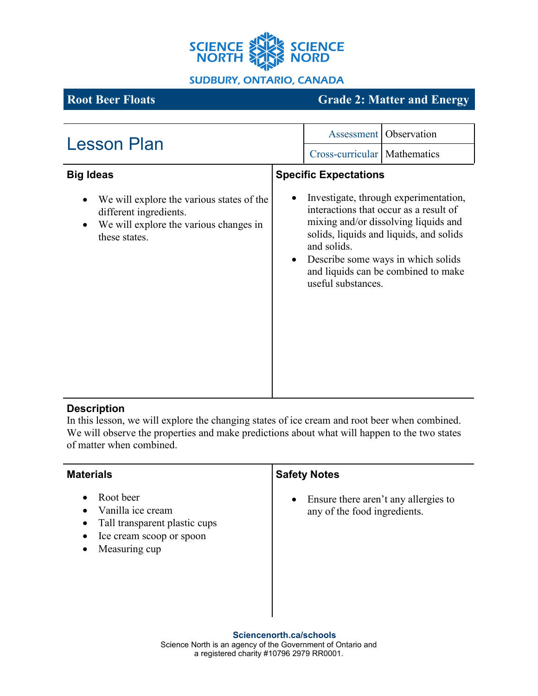

**SUDBURY, ONTARIO, CANADA** 

# **Root Beer Floats Grade 2: Matter and Energy**

| <b>Lesson Plan</b>                                                                                                             | <b>Assessment</b> Observation                                                                                                                                                                                                                                                        |  |
|--------------------------------------------------------------------------------------------------------------------------------|--------------------------------------------------------------------------------------------------------------------------------------------------------------------------------------------------------------------------------------------------------------------------------------|--|
|                                                                                                                                | Cross-curricular   Mathematics                                                                                                                                                                                                                                                       |  |
| <b>Big Ideas</b>                                                                                                               | <b>Specific Expectations</b>                                                                                                                                                                                                                                                         |  |
| We will explore the various states of the<br>different ingredients.<br>We will explore the various changes in<br>these states. | Investigate, through experimentation,<br>interactions that occur as a result of<br>mixing and/or dissolving liquids and<br>solids, liquids and liquids, and solids<br>and solids.<br>Describe some ways in which solids<br>and liquids can be combined to make<br>useful substances. |  |

# **Description**

In this lesson, we will explore the changing states of ice cream and root beer when combined. We will observe the properties and make predictions about what will happen to the two states of matter when combined.

| <b>Materials</b>                                                                                                                                              | <b>Safety Notes</b>                                                               |
|---------------------------------------------------------------------------------------------------------------------------------------------------------------|-----------------------------------------------------------------------------------|
| Root beer<br>$\bullet$<br>Vanilla ice cream<br>$\bullet$<br>Tall transparent plastic cups<br>$\bullet$<br>Ice cream scoop or spoon<br>٠<br>Measuring cup<br>٠ | Ensure there aren't any allergies to<br>$\bullet$<br>any of the food ingredients. |